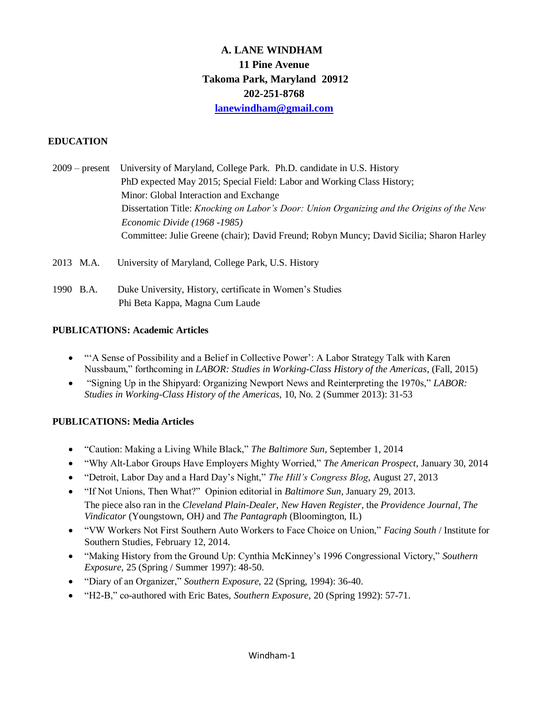# **A. LANE WINDHAM 11 Pine Avenue Takoma Park, Maryland 20912 202-251-8768 [lanewindham@gmail.com](mailto:lanewindham@gmail.com)**

# **EDUCATION**

- 2009 present University of Maryland, College Park. Ph.D. candidate in U.S. History PhD expected May 2015; Special Field: Labor and Working Class History; Minor: Global Interaction and Exchange Dissertation Title: *Knocking on Labor's Door: Union Organizing and the Origins of the New Economic Divide (1968 -1985)* Committee: Julie Greene (chair); David Freund; Robyn Muncy; David Sicilia; Sharon Harley
- 2013 M.A. University of Maryland, College Park, U.S. History
- 1990 B.A. Duke University, History, certificate in Women's Studies Phi Beta Kappa, Magna Cum Laude

# **PUBLICATIONS: Academic Articles**

- "'A Sense of Possibility and a Belief in Collective Power': A Labor Strategy Talk with Karen Nussbaum," forthcoming in *LABOR: Studies in Working-Class History of the Americas*, (Fall, 2015)
- "Signing Up in the Shipyard: Organizing Newport News and Reinterpreting the 1970s," *LABOR: Studies in Working-Class History of the Americas*, 10, No. 2 (Summer 2013): 31-53

# **PUBLICATIONS: Media Articles**

- "Caution: Making a Living While Black," *The Baltimore Sun*, September 1, 2014
- "Why Alt-Labor Groups Have Employers Mighty Worried," *The American Prospect*, January 30, 2014
- "Detroit, Labor Day and a Hard Day's Night," *The Hill's Congress Blog*, August 27, 2013
- "If Not Unions, Then What?" Opinion editorial in *Baltimore Sun*, January 29, 2013. The piece also ran in the *Cleveland Plain-Dealer*, *New Haven Register*, the *Providence Journal*, *The Vindicator* (Youngstown, OH*)* and *The Pantagraph* (Bloomington, IL)
- "VW Workers Not First Southern Auto Workers to Face Choice on Union," *Facing South* / Institute for Southern Studies, February 12, 2014.
- "Making History from the Ground Up: Cynthia McKinney's 1996 Congressional Victory," *Southern Exposure*, 25 (Spring / Summer 1997): 48-50.
- "Diary of an Organizer," *Southern Exposure*, 22 (Spring, 1994): 36-40.
- "H2-B," co-authored with Eric Bates, *Southern Exposure,* 20 (Spring 1992): 57-71.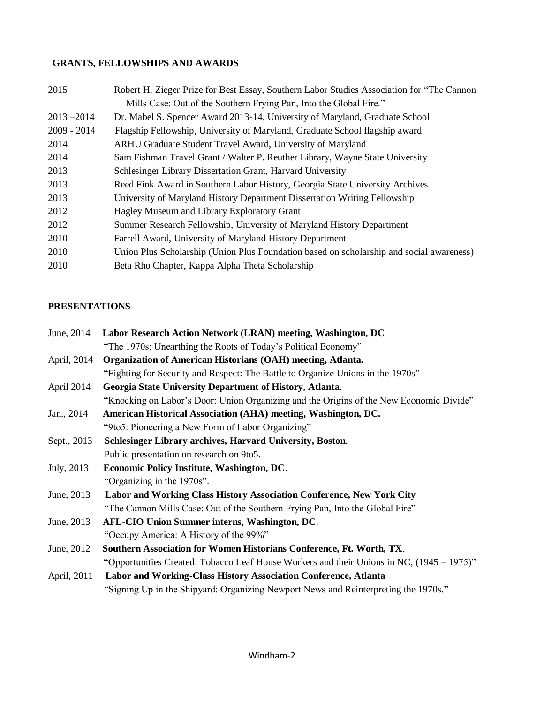# **GRANTS, FELLOWSHIPS AND AWARDS**

| 2015          | Robert H. Zieger Prize for Best Essay, Southern Labor Studies Association for "The Cannon" |
|---------------|--------------------------------------------------------------------------------------------|
|               | Mills Case: Out of the Southern Frying Pan, Into the Global Fire."                         |
| $2013 - 2014$ | Dr. Mabel S. Spencer Award 2013-14, University of Maryland, Graduate School                |
| $2009 - 2014$ | Flagship Fellowship, University of Maryland, Graduate School flagship award                |
| 2014          | ARHU Graduate Student Travel Award, University of Maryland                                 |
| 2014          | Sam Fishman Travel Grant / Walter P. Reuther Library, Wayne State University               |
| 2013          | Schlesinger Library Dissertation Grant, Harvard University                                 |
| 2013          | Reed Fink Award in Southern Labor History, Georgia State University Archives               |
| 2013          | University of Maryland History Department Dissertation Writing Fellowship                  |
| 2012          | Hagley Museum and Library Exploratory Grant                                                |
| 2012          | Summer Research Fellowship, University of Maryland History Department                      |
| 2010          | Farrell Award, University of Maryland History Department                                   |
| 2010          | Union Plus Scholarship (Union Plus Foundation based on scholarship and social awareness)   |
| 2010          | Beta Rho Chapter, Kappa Alpha Theta Scholarship                                            |

# **PRESENTATIONS**

| June, 2014  | Labor Research Action Network (LRAN) meeting, Washington, DC                                 |
|-------------|----------------------------------------------------------------------------------------------|
|             | "The 1970s: Unearthing the Roots of Today's Political Economy"                               |
| April, 2014 | Organization of American Historians (OAH) meeting, Atlanta.                                  |
|             | "Fighting for Security and Respect: The Battle to Organize Unions in the 1970s"              |
| April 2014  | Georgia State University Department of History, Atlanta.                                     |
|             | "Knocking on Labor's Door: Union Organizing and the Origins of the New Economic Divide"      |
| Jan., 2014  | American Historical Association (AHA) meeting, Washington, DC.                               |
|             | "9to5: Pioneering a New Form of Labor Organizing"                                            |
| Sept., 2013 | Schlesinger Library archives, Harvard University, Boston.                                    |
|             | Public presentation on research on 9to5.                                                     |
| July, 2013  | Economic Policy Institute, Washington, DC.                                                   |
|             | "Organizing in the 1970s".                                                                   |
| June, 2013  | Labor and Working Class History Association Conference, New York City                        |
|             | "The Cannon Mills Case: Out of the Southern Frying Pan, Into the Global Fire"                |
| June, 2013  | <b>AFL-CIO Union Summer interns, Washington, DC.</b>                                         |
|             | "Occupy America: A History of the 99%"                                                       |
| June, 2012  | Southern Association for Women Historians Conference, Ft. Worth, TX.                         |
|             | "Opportunities Created: Tobacco Leaf House Workers and their Unions in NC, $(1945 - 1975)$ " |
| April, 2011 | Labor and Working-Class History Association Conference, Atlanta                              |
|             | "Signing Up in the Shipyard: Organizing Newport News and Reinterpreting the 1970s."          |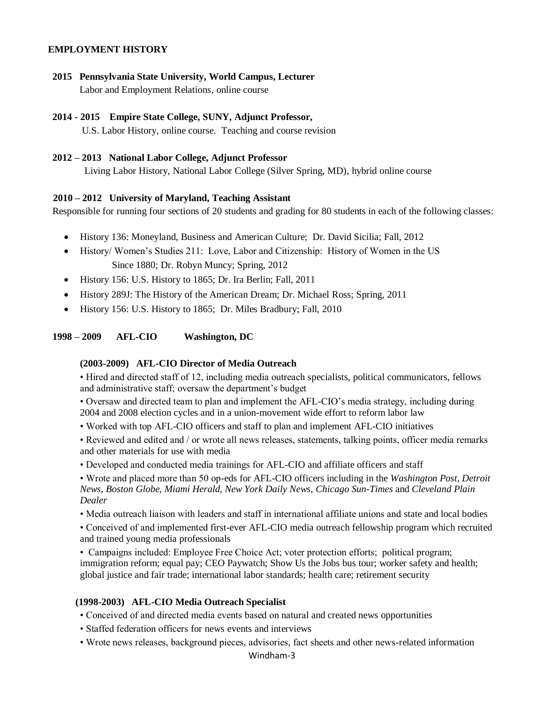## **EMPLOYMENT HISTORY**

**2015 Pennsylvania State University, World Campus, Lecturer** Labor and Employment Relations, online course

#### **2014 - 2015 Empire State College, SUNY, Adjunct Professor,**

U.S. Labor History, online course. Teaching and course revision

### **2012 – 2013 National Labor College, Adjunct Professor**

Living Labor History, National Labor College (Silver Spring, MD), hybrid online course

#### **2010 – 2012 University of Maryland, Teaching Assistant**

Responsible for running four sections of 20 students and grading for 80 students in each of the following classes:

- History 136: Moneyland, Business and American Culture; Dr. David Sicilia; Fall, 2012
- History/ Women's Studies 211: Love, Labor and Citizenship: History of Women in the US Since 1880; Dr. Robyn Muncy; Spring, 2012
- History 156: U.S. History to 1865; Dr. Ira Berlin; Fall, 2011
- History 289J: The History of the American Dream; Dr. Michael Ross; Spring, 2011
- History 156: U.S. History to 1865; Dr. Miles Bradbury; Fall, 2010

### **1998 – 2009 AFL-CIO Washington, DC**

#### **(2003-2009) AFL-CIO Director of Media Outreach**

• Hired and directed staff of 12, including media outreach specialists, political communicators, fellows and administrative staff; oversaw the department's budget

• Oversaw and directed team to plan and implement the AFL-CIO's media strategy, including during 2004 and 2008 election cycles and in a union-movement wide effort to reform labor law

• Worked with top AFL-CIO officers and staff to plan and implement AFL-CIO initiatives

• Reviewed and edited and / or wrote all news releases, statements, talking points, officer media remarks and other materials for use with media

• Developed and conducted media trainings for AFL-CIO and affiliate officers and staff

• Wrote and placed more than 50 op-eds for AFL-CIO officers including in the *Washington Post, Detroit News, Boston Globe, Miami Herald, New York Daily News, Chicago Sun-Times* and *Cleveland Plain Dealer*

• Media outreach liaison with leaders and staff in international affiliate unions and state and local bodies

• Conceived of and implemented first-ever AFL-CIO media outreach fellowship program which recruited and trained young media professionals

• Campaigns included: Employee Free Choice Act; voter protection efforts; political program; immigration reform; equal pay; CEO Paywatch; Show Us the Jobs bus tour; worker safety and health; global justice and fair trade; international labor standards; health care; retirement security

#### **(1998-2003) AFL-CIO Media Outreach Specialist**

• Conceived of and directed media events based on natural and created news opportunities

- Staffed federation officers for news events and interviews
- Wrote news releases, background pieces, advisories, fact sheets and other news-related information

# Windham-3